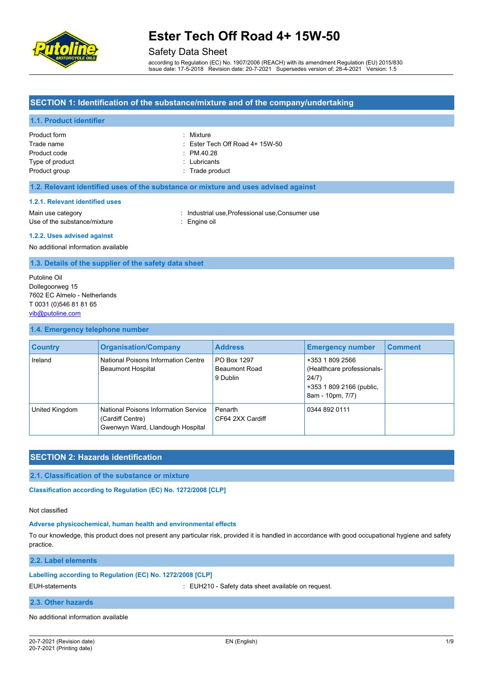

# Safety Data Sheet

according to Regulation (EC) No. 1907/2006 (REACH) with its amendment Regulation (EU) 2015/830 Issue date: 17-5-2018 Revision date: 20-7-2021 Supersedes version of: 28-4-2021 Version: 1.5

# **SECTION 1: Identification of the substance/mixture and of the company/undertaking**

# **1.1. Product identifier**

| Product form    | : Mixture                                  |
|-----------------|--------------------------------------------|
| Trade name      | $\therefore$ Ester Tech Off Road 4+ 15W-50 |
| Product code    | $\therefore$ PM 40.28                      |
| Type of product | : Lubricants                               |
| Product group   | : Trade product                            |

# **1.2. Relevant identified uses of the substance or mixture and uses advised against**

#### **1.2.1. Relevant identified uses**

Main use category **industrial use, Professional use, Consumer use** in Main use category Use of the substance/mixture in the substance oil

#### **1.2.2. Uses advised against**

No additional information available

#### **1.3. Details of the supplier of the safety data sheet**

Putoline Oil Dollegoorweg 15 7602 EC Almelo - Netherlands T 0031 (0)546 81 81 65 [vib@putoline.com](mailto:vib@putoline.com)

#### **1.4. Emergency telephone number**

| <b>Country</b> | <b>Organisation/Company</b>                                                                  | <b>Address</b>                                  | <b>Emergency number</b>                                                                                | <b>Comment</b> |
|----------------|----------------------------------------------------------------------------------------------|-------------------------------------------------|--------------------------------------------------------------------------------------------------------|----------------|
| Ireland        | National Poisons Information Centre<br><b>Beaumont Hospital</b>                              | PO Box 1297<br><b>Beaumont Road</b><br>9 Dublin | +353 1 809 2566<br>(Healthcare professionals-<br>24/7)<br>+353 1 809 2166 (public,<br>8am - 10pm, 7/7) |                |
| United Kingdom | National Poisons Information Service<br>(Cardiff Centre)<br>Gwenwyn Ward, Llandough Hospital | Penarth<br>CF64 2XX Cardiff                     | 0344 892 0111                                                                                          |                |

# **SECTION 2: Hazards identification**

**2.1. Classification of the substance or mixture**

**Classification according to Regulation (EC) No. 1272/2008 [CLP]** 

Not classified

#### **Adverse physicochemical, human health and environmental effects**

To our knowledge, this product does not present any particular risk, provided it is handled in accordance with good occupational hygiene and safety practice.

### **2.2. Label elements**

#### **Labelling according to Regulation (EC) No. 1272/2008 [CLP]**

EUH-statements **in the statements** of the statements of the statements of the statements of the statements of the statement of the statement of the statement of the statement of the statement of the statement of the statem

### **2.3. Other hazards**

No additional information available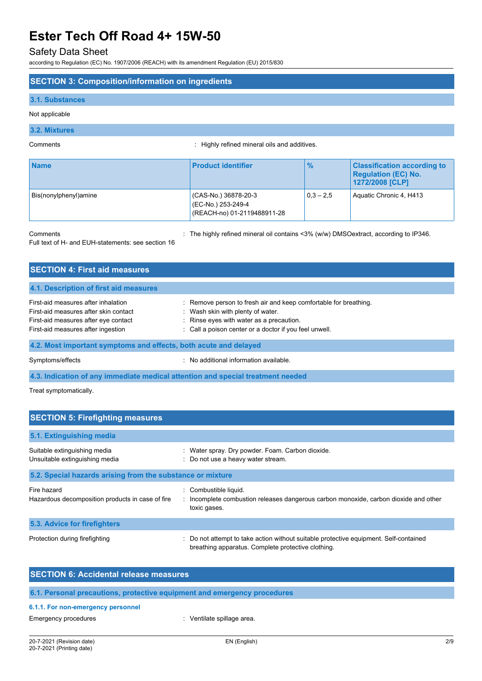# Safety Data Sheet

according to Regulation (EC) No. 1907/2006 (REACH) with its amendment Regulation (EU) 2015/830

# **SECTION 3: Composition/information on ingredients**

# **3.1. Substances**

Not applicable

# **3.2. Mixtures**

Comments : Highly refined mineral oils and additives.

| <b>Name</b>           | <b>Product identifier</b>                                                 | $\frac{9}{6}$ | <b>Classification according to</b><br><b>Regulation (EC) No.</b><br>1272/2008 [CLP] |
|-----------------------|---------------------------------------------------------------------------|---------------|-------------------------------------------------------------------------------------|
| Bis(nonylphenyl)amine | (CAS-No.) 36878-20-3<br>(EC-No.) 253-249-4<br>(REACH-no) 01-2119488911-28 | $0.3 - 2.5$   | Aquatic Chronic 4, H413                                                             |

Comments **Comments** : The highly refined mineral oil contains <3% (w/w) DMSOextract, according to IP346.

Full text of H- and EUH-statements: see section 16

| <b>SECTION 4: First aid measures</b>                                                                                                                       |                                                                                                                                                                                                             |
|------------------------------------------------------------------------------------------------------------------------------------------------------------|-------------------------------------------------------------------------------------------------------------------------------------------------------------------------------------------------------------|
| 4.1. Description of first aid measures                                                                                                                     |                                                                                                                                                                                                             |
| First-aid measures after inhalation<br>First-aid measures after skin contact<br>First-aid measures after eye contact<br>First-aid measures after ingestion | : Remove person to fresh air and keep comfortable for breathing.<br>: Wash skin with plenty of water.<br>: Rinse eyes with water as a precaution.<br>: Call a poison center or a doctor if you feel unwell. |
| 4.2. Most important symptoms and effects, both acute and delayed                                                                                           |                                                                                                                                                                                                             |
| Symptoms/effects                                                                                                                                           | : No additional information available.                                                                                                                                                                      |

**4.3. Indication of any immediate medical attention and special treatment needed**

Treat symptomatically.

| <b>SECTION 5: Firefighting measures</b>                         |                                                                                                                                             |
|-----------------------------------------------------------------|---------------------------------------------------------------------------------------------------------------------------------------------|
| 5.1. Extinguishing media                                        |                                                                                                                                             |
| Suitable extinguishing media<br>Unsuitable extinguishing media  | : Water spray. Dry powder. Foam. Carbon dioxide.<br>: Do not use a heavy water stream.                                                      |
| 5.2. Special hazards arising from the substance or mixture      |                                                                                                                                             |
| Fire hazard<br>Hazardous decomposition products in case of fire | Combustible liquid.<br>: Incomplete combustion releases dangerous carbon monoxide, carbon dioxide and other<br>toxic gases.                 |
| 5.3. Advice for firefighters                                    |                                                                                                                                             |
| Protection during firefighting                                  | : Do not attempt to take action without suitable protective equipment. Self-contained<br>breathing apparatus. Complete protective clothing. |

| <b>SECTION 6: Accidental release measures</b> |                                                                          |
|-----------------------------------------------|--------------------------------------------------------------------------|
|                                               |                                                                          |
|                                               | 6.1. Personal precautions, protective equipment and emergency procedures |
| 6.1.1. For non-emergency personnel            |                                                                          |
| Emergency procedures                          | : Ventilate spillage area.                                               |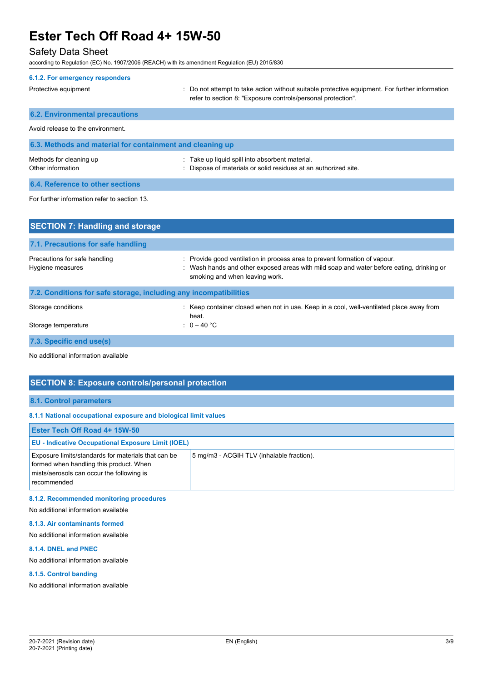# Safety Data Sheet

according to Regulation (EC) No. 1907/2006 (REACH) with its amendment Regulation (EU) 2015/830

| 6.1.2. For emergency responders                           |                                                                                                                                                                |
|-----------------------------------------------------------|----------------------------------------------------------------------------------------------------------------------------------------------------------------|
| Protective equipment                                      | : Do not attempt to take action without suitable protective equipment. For further information<br>refer to section 8. "Exposure controls/personal protection". |
| <b>6.2. Environmental precautions</b>                     |                                                                                                                                                                |
| Avoid release to the environment.                         |                                                                                                                                                                |
| 6.3. Methods and material for containment and cleaning up |                                                                                                                                                                |
| Methods for cleaning up<br>Other information              | : Take up liquid spill into absorbent material.<br>: Dispose of materials or solid residues at an authorized site.                                             |
| 6.4. Reference to other sections                          |                                                                                                                                                                |
| For further information refer to section 13.              |                                                                                                                                                                |
| <b>SECTION 7: Handling and storage</b>                    |                                                                                                                                                                |
| 7.1. Precautions for safe handling                        |                                                                                                                                                                |

| Hygiene measures                                                  | : Wash hands and other exposed areas with mild soap and water before eating, drinking or<br>smoking and when leaving work. |
|-------------------------------------------------------------------|----------------------------------------------------------------------------------------------------------------------------|
| 7.2. Conditions for safe storage, including any incompatibilities |                                                                                                                            |
| Storage conditions                                                | : Keep container closed when not in use. Keep in a cool, well-ventilated place away from<br>heat.                          |
| Storage temperature                                               | : $0-40$ °C                                                                                                                |
|                                                                   |                                                                                                                            |

Precautions for safe handling : Provide good ventilation in process area to prevent formation of vapour.

**7.3. Specific end use(s)**

No additional information available

# **SECTION 8: Exposure controls/personal protection**

# **8.1. Control parameters**

#### **8.1.1 National occupational exposure and biological limit values**

| <b>Ester Tech Off Road 4+ 15W-50</b>                                                                                                                       |                                           |
|------------------------------------------------------------------------------------------------------------------------------------------------------------|-------------------------------------------|
| <b>EU - Indicative Occupational Exposure Limit (IOEL)</b>                                                                                                  |                                           |
| Exposure limits/standards for materials that can be<br>formed when handling this product. When<br>mists/aerosols can occur the following is<br>recommended | 5 mg/m3 - ACGIH TLV (inhalable fraction). |

# **8.1.2. Recommended monitoring procedures**

No additional information available

# **8.1.3. Air contaminants formed**

No additional information available

# **8.1.4. DNEL and PNEC**

No additional information available

# **8.1.5. Control banding**

No additional information available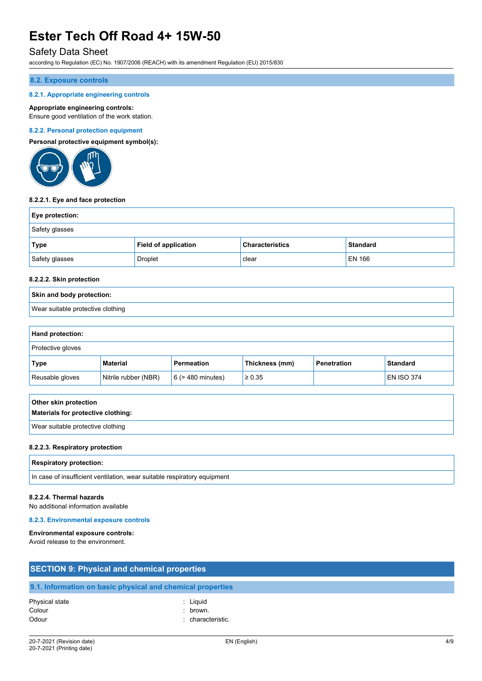# Safety Data Sheet

according to Regulation (EC) No. 1907/2006 (REACH) with its amendment Regulation (EU) 2015/830

# **8.2. Exposure controls**

### **8.2.1. Appropriate engineering controls**

### **Appropriate engineering controls:**

Ensure good ventilation of the work station.

### **8.2.2. Personal protection equipment**

**Personal protective equipment symbol(s):**



#### **8.2.2.1. Eye and face protection**

| <b>Eye protection:</b> |                             |                        |                 |
|------------------------|-----------------------------|------------------------|-----------------|
| Safety glasses         |                             |                        |                 |
| <b>Type</b>            | <b>Field of application</b> | <b>Characteristics</b> | <b>Standard</b> |
| Safety glasses         | Droplet                     | clear                  | EN 166          |

# **8.2.2.2. Skin protection**

# **Skin and body protection:** Wear suitable protective clothing

### **Hand protection:**

| Protective gloves |                      |                        |                |             |                   |
|-------------------|----------------------|------------------------|----------------|-------------|-------------------|
| Type              | <b>Material</b>      | <b>Permeation</b>      | Thickness (mm) | Penetration | <b>Standard</b>   |
| Reusable gloves   | Nitrile rubber (NBR) | $6$ ( $>$ 480 minutes) | $\geq 0.35$    |             | <b>EN ISO 374</b> |

| Other skin protection              |
|------------------------------------|
| Materials for protective clothing: |
| Wear suitable protective clothing  |

#### **8.2.2.3. Respiratory protection**

#### **Respiratory protection:**

In case of insufficient ventilation, wear suitable respiratory equipment

### **8.2.2.4. Thermal hazards**

No additional information available

# **8.2.3. Environmental exposure controls**

#### **Environmental exposure controls:**

Avoid release to the environment.

| <b>SECTION 9: Physical and chemical properties</b> |                                                            |  |
|----------------------------------------------------|------------------------------------------------------------|--|
|                                                    | 9.1. Information on basic physical and chemical properties |  |
| Physical state                                     | : Liauid                                                   |  |
| Colour                                             | brown.                                                     |  |
| Odour                                              | characteristic.                                            |  |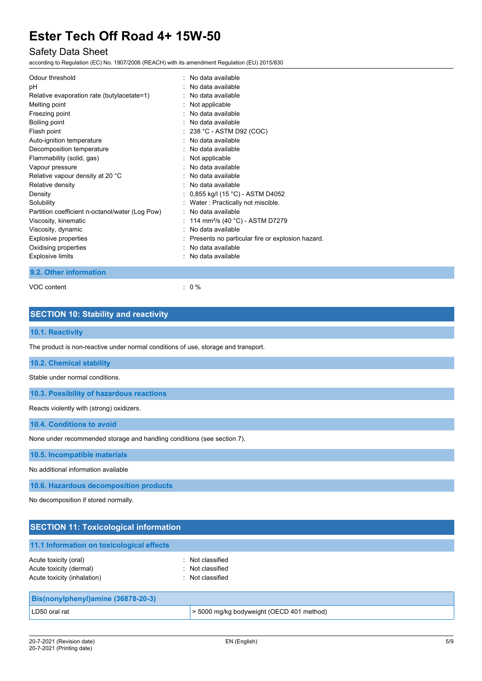# Safety Data Sheet

according to Regulation (EC) No. 1907/2006 (REACH) with its amendment Regulation (EU) 2015/830

| Odour threshold                                 | . No data available                                |
|-------------------------------------------------|----------------------------------------------------|
| рH                                              | : No data available                                |
| Relative evaporation rate (butylacetate=1)      | : No data available                                |
| Melting point                                   | : Not applicable                                   |
| Freezing point                                  | . No data available                                |
| Boiling point                                   | No data available                                  |
| Flash point                                     | $: 238 °C$ - ASTM D92 (COC)                        |
| Auto-ignition temperature                       | : No data available                                |
| Decomposition temperature                       | : No data available                                |
| Flammability (solid, gas)                       | $:$ Not applicable                                 |
| Vapour pressure                                 | No data available                                  |
| Relative vapour density at 20 °C                | : No data available                                |
| Relative density                                | $:$ No data available                              |
| Density                                         | : 0,855 kg/l (15 °C) - ASTM D4052                  |
| Solubility                                      | : Water: Practically not miscible.                 |
| Partition coefficient n-octanol/water (Log Pow) | : No data available                                |
| Viscosity, kinematic                            | 114 mm <sup>2</sup> /s (40 °C) - ASTM D7279        |
| Viscosity, dynamic                              | No data available                                  |
| Explosive properties                            | : Presents no particular fire or explosion hazard. |
| Oxidising properties                            | No data available                                  |
| <b>Explosive limits</b>                         | No data available                                  |

# **9.2. Other information**

VOC content : 0 %

# **SECTION 10: Stability and reactivity**

# **10.1. Reactivity**

The product is non-reactive under normal conditions of use, storage and transport.

### **10.2. Chemical stability**

Stable under normal conditions.

**10.3. Possibility of hazardous reactions**

Reacts violently with (strong) oxidizers.

**10.4. Conditions to avoid**

None under recommended storage and handling conditions (see section 7).

**10.5. Incompatible materials**

No additional information available

**10.6. Hazardous decomposition products**

No decomposition if stored normally.

| <b>SECTION 11: Toxicological information</b>                                    |                                                          |  |
|---------------------------------------------------------------------------------|----------------------------------------------------------|--|
| 11.1 Information on toxicological effects                                       |                                                          |  |
| Acute toxicity (oral)<br>Acute toxicity (dermal)<br>Acute toxicity (inhalation) | : Not classified<br>: Not classified<br>: Not classified |  |
| Bis(nonylphenyl)amine (36878-20-3)                                              |                                                          |  |
| LD50 oral rat                                                                   | > 5000 mg/kg bodyweight (OECD 401 method)                |  |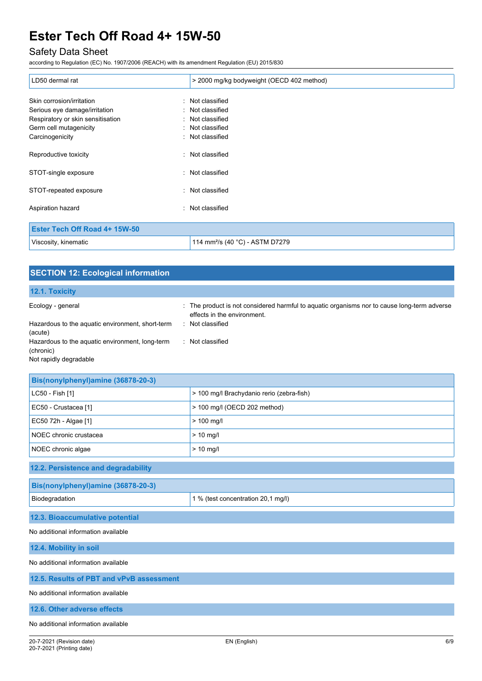# Safety Data Sheet

according to Regulation (EC) No. 1907/2006 (REACH) with its amendment Regulation (EU) 2015/830

| LD50 dermal rat                   | > 2000 mg/kg bodyweight (OECD 402 method)   |
|-----------------------------------|---------------------------------------------|
| Skin corrosion/irritation         | : Not classified                            |
| Serious eye damage/irritation     | : Not classified                            |
| Respiratory or skin sensitisation | : Not classified                            |
| Germ cell mutagenicity            | : Not classified                            |
| Carcinogenicity                   | : Not classified                            |
| Reproductive toxicity             | : Not classified                            |
| STOT-single exposure              | : Not classified                            |
| STOT-repeated exposure            | : Not classified                            |
| Aspiration hazard                 | : Not classified                            |
| Ester Tech Off Road 4+ 15W-50     |                                             |
| Viscosity, kinematic              | 114 mm <sup>2</sup> /s (40 °C) - ASTM D7279 |

| <b>SECTION 12: Ecological information</b>                                              |                                                                                                                            |  |  |
|----------------------------------------------------------------------------------------|----------------------------------------------------------------------------------------------------------------------------|--|--|
| 12.1. Toxicity                                                                         |                                                                                                                            |  |  |
| Ecology - general                                                                      | : The product is not considered harmful to aquatic organisms nor to cause long-term adverse<br>effects in the environment. |  |  |
| Hazardous to the aquatic environment, short-term<br>(acute)                            | : Not classified                                                                                                           |  |  |
| Hazardous to the aquatic environment, long-term<br>(chronic)<br>Not rapidly degradable | : Not classified                                                                                                           |  |  |

| Bis(nonylphenyl)amine (36878-20-3)  |                                           |  |
|-------------------------------------|-------------------------------------------|--|
| LC50 - Fish [1]                     | > 100 mg/l Brachydanio rerio (zebra-fish) |  |
| EC50 - Crustacea [1]                | > 100 mg/l (OECD 202 method)              |  |
| EC50 72h - Algae [1]                | $> 100$ mg/l                              |  |
| NOEC chronic crustacea              | $> 10$ mg/l                               |  |
| NOEC chronic algae                  | $> 10$ mg/l                               |  |
| 12.2. Persistence and degradability |                                           |  |
| Bis(nonylphenyl)amine (36878-20-3)  |                                           |  |
| Biodegradation                      | 1 % (test concentration 20,1 mg/l)        |  |
| 12.3. Bioaccumulative potential     |                                           |  |
| No additional information available |                                           |  |
| 12.4. Mobility in soil              |                                           |  |

No additional information available

**12.5. Results of PBT and vPvB assessment**

No additional information available

**12.6. Other adverse effects**

No additional information available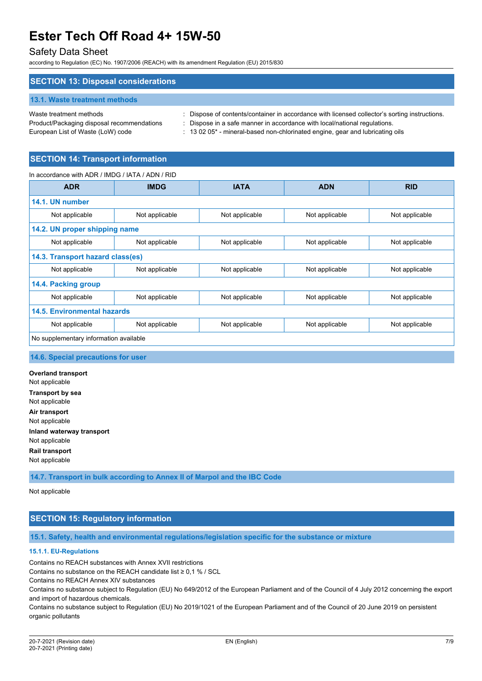# Safety Data Sheet

according to Regulation (EC) No. 1907/2006 (REACH) with its amendment Regulation (EU) 2015/830

### **SECTION 13: Disposal considerations**

#### **13.1. Waste treatment methods**

Product/Packaging disposal recommendations : Dispose in a safe manner in accordance with local/national regulations.

Waste treatment methods : Dispose of contents/container in accordance with licensed collector's sorting instructions.

European List of Waste (LoW) code : 13 02 05<sup>\*</sup> - mineral-based non-chlorinated engine, gear and lubricating oils

# **SECTION 14: Transport information**

### In accordance with ADR / IMDG / IATA / ADN / RID

| <b>ADR</b>                             | <b>IMDG</b>                      | <b>IATA</b>    | <b>ADN</b>     | <b>RID</b>     |
|----------------------------------------|----------------------------------|----------------|----------------|----------------|
| 14.1. UN number                        |                                  |                |                |                |
| Not applicable                         | Not applicable                   | Not applicable | Not applicable | Not applicable |
| 14.2. UN proper shipping name          |                                  |                |                |                |
| Not applicable                         | Not applicable                   | Not applicable | Not applicable | Not applicable |
|                                        | 14.3. Transport hazard class(es) |                |                |                |
| Not applicable                         | Not applicable                   | Not applicable | Not applicable | Not applicable |
| 14.4. Packing group                    |                                  |                |                |                |
| Not applicable                         | Not applicable                   | Not applicable | Not applicable | Not applicable |
| 14.5. Environmental hazards            |                                  |                |                |                |
| Not applicable                         | Not applicable                   | Not applicable | Not applicable | Not applicable |
| No supplementary information available |                                  |                |                |                |

# **14.6. Special precautions for user**

**Overland transport** Not applicable **Transport by sea** Not applicable **Air transport** Not applicable **Inland waterway transport** Not applicable **Rail transport** Not applicable

**14.7. Transport in bulk according to Annex II of Marpol and the IBC Code**

Not applicable

# **SECTION 15: Regulatory information**

**15.1. Safety, health and environmental regulations/legislation specific for the substance or mixture**

### **15.1.1. EU-Regulations**

Contains no REACH substances with Annex XVII restrictions

Contains no substance on the REACH candidate list ≥ 0,1 % / SCL

Contains no REACH Annex XIV substances

Contains no substance subject to Regulation (EU) No 649/2012 of the European Parliament and of the Council of 4 July 2012 concerning the export and import of hazardous chemicals.

Contains no substance subject to Regulation (EU) No 2019/1021 of the European Parliament and of the Council of 20 June 2019 on persistent organic pollutants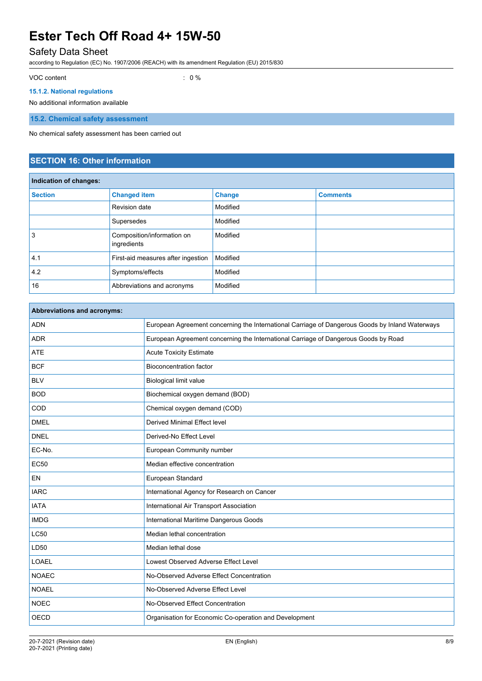# Safety Data Sheet

according to Regulation (EC) No. 1907/2006 (REACH) with its amendment Regulation (EU) 2015/830

VOC content : 0 %

# **15.1.2. National regulations**

No additional information available

**15.2. Chemical safety assessment**

No chemical safety assessment has been carried out

# **SECTION 16: Other information**

| Indication of changes: |                                           |               |                 |
|------------------------|-------------------------------------------|---------------|-----------------|
| <b>Section</b>         | <b>Changed item</b>                       | <b>Change</b> | <b>Comments</b> |
|                        | Revision date                             | Modified      |                 |
|                        | Supersedes                                | Modified      |                 |
| 3                      | Composition/information on<br>ingredients | Modified      |                 |
| 4.1                    | First-aid measures after ingestion        | Modified      |                 |
| 4.2                    | Symptoms/effects                          | Modified      |                 |
| 16                     | Abbreviations and acronyms                | Modified      |                 |

| European Agreement concerning the International Carriage of Dangerous Goods by Inland Waterways |
|-------------------------------------------------------------------------------------------------|
| European Agreement concerning the International Carriage of Dangerous Goods by Road             |
| <b>Acute Toxicity Estimate</b>                                                                  |
| <b>Bioconcentration factor</b>                                                                  |
| <b>Biological limit value</b>                                                                   |
| Biochemical oxygen demand (BOD)                                                                 |
| Chemical oxygen demand (COD)                                                                    |
| <b>Derived Minimal Effect level</b>                                                             |
| Derived-No Effect Level                                                                         |
| European Community number                                                                       |
| Median effective concentration                                                                  |
| European Standard                                                                               |
| International Agency for Research on Cancer                                                     |
| International Air Transport Association                                                         |
| International Maritime Dangerous Goods                                                          |
| Median lethal concentration                                                                     |
| Median lethal dose                                                                              |
| Lowest Observed Adverse Effect Level                                                            |
| No-Observed Adverse Effect Concentration                                                        |
| No-Observed Adverse Effect Level                                                                |
| No-Observed Effect Concentration                                                                |
| Organisation for Economic Co-operation and Development                                          |
|                                                                                                 |